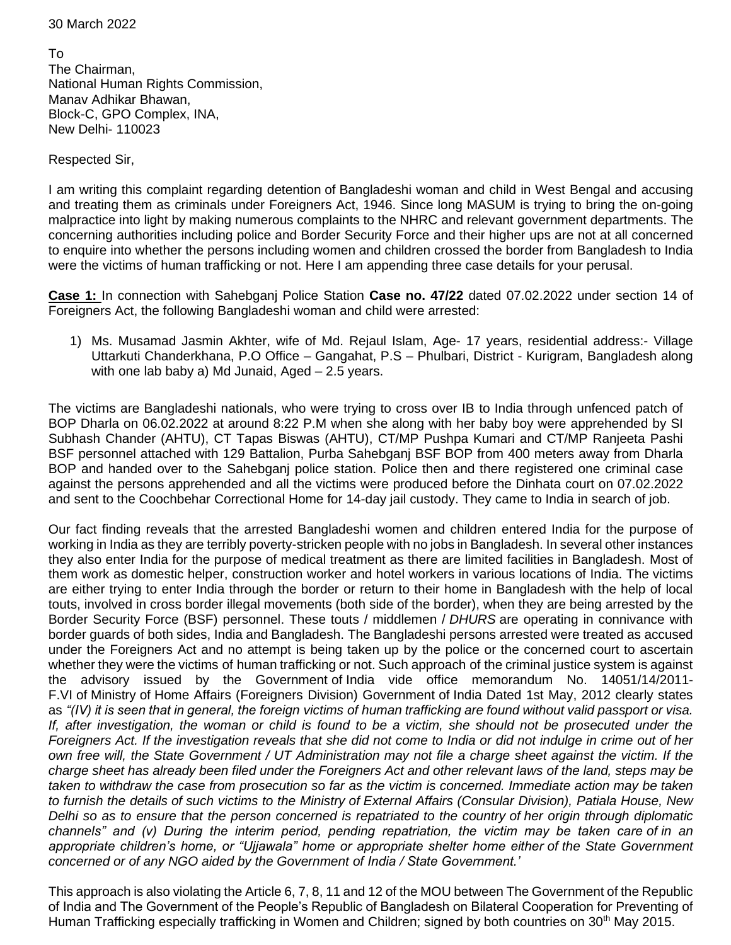30 March 2022

To The Chairman, National Human Rights Commission, Manav Adhikar Bhawan, Block-C, GPO Complex, INA, New Delhi- 110023

Respected Sir,

I am writing this complaint regarding detention of Bangladeshi woman and child in West Bengal and accusing and treating them as criminals under Foreigners Act, 1946. Since long MASUM is trying to bring the on-going malpractice into light by making numerous complaints to the NHRC and relevant government departments. The concerning authorities including police and Border Security Force and their higher ups are not at all concerned to enquire into whether the persons including women and children crossed the border from Bangladesh to India were the victims of human trafficking or not. Here I am appending three case details for your perusal.

**Case 1:** In connection with Sahebganj Police Station **Case no. 47/22** dated 07.02.2022 under section 14 of Foreigners Act, the following Bangladeshi woman and child were arrested:

1) Ms. Musamad Jasmin Akhter, wife of Md. Rejaul Islam, Age- 17 years, residential address:- Village Uttarkuti Chanderkhana, P.O Office – Gangahat, P.S – Phulbari, District - Kurigram, Bangladesh along with one lab baby a) Md Junaid, Aged – 2.5 years.

The victims are Bangladeshi nationals, who were trying to cross over IB to India through unfenced patch of BOP Dharla on 06.02.2022 at around 8:22 P.M when she along with her baby boy were apprehended by SI Subhash Chander (AHTU), CT Tapas Biswas (AHTU), CT/MP Pushpa Kumari and CT/MP Ranjeeta Pashi BSF personnel attached with 129 Battalion, Purba Sahebganj BSF BOP from 400 meters away from Dharla BOP and handed over to the Sahebganj police station. Police then and there registered one criminal case against the persons apprehended and all the victims were produced before the Dinhata court on 07.02.2022 and sent to the Coochbehar Correctional Home for 14-day jail custody. They came to India in search of job.

Our fact finding reveals that the arrested Bangladeshi women and children entered India for the purpose of working in India as they are terribly poverty-stricken people with no jobs in Bangladesh. In several other instances they also enter India for the purpose of medical treatment as there are limited facilities in Bangladesh. Most of them work as domestic helper, construction worker and hotel workers in various locations of India. The victims are either trying to enter India through the border or return to their home in Bangladesh with the help of local touts, involved in cross border illegal movements (both side of the border), when they are being arrested by the Border Security Force (BSF) personnel. These touts / middlemen / *DHURS* are operating in connivance with border guards of both sides, India and Bangladesh. The Bangladeshi persons arrested were treated as accused under the Foreigners Act and no attempt is being taken up by the police or the concerned court to ascertain whether they were the victims of human trafficking or not. Such approach of the criminal justice system is against the advisory issued by the Government of India vide office memorandum No. 14051/14/2011- F.VI of Ministry of Home Affairs (Foreigners Division) Government of India Dated 1st May, 2012 clearly states as *"(IV) it is seen that in general, the foreign victims of human trafficking are found without valid passport or visa. If, after investigation, the woman or child is found to be a victim, she should not be prosecuted under the Foreigners Act. If the investigation reveals that she did not come to India or did not indulge in crime out of her own free will, the State Government / UT Administration may not file a charge sheet against the victim. If the charge sheet has already been filed under the Foreigners Act and other relevant laws of the land, steps may be taken to withdraw the case from prosecution so far as the victim is concerned. Immediate action may be taken to furnish the details of such victims to the Ministry of External Affairs (Consular Division), Patiala House, New Delhi so as to ensure that the person concerned is repatriated to the country of her origin through diplomatic channels" and (v) During the interim period, pending repatriation, the victim may be taken care of in an appropriate children's home, or "Ujjawala" home or appropriate shelter home either of the State Government concerned or of any NGO aided by the Government of India / State Government.'*

This approach is also violating the Article 6, 7, 8, 11 and 12 of the MOU between The Government of the Republic of India and The Government of the People's Republic of Bangladesh on Bilateral Cooperation for Preventing of Human Trafficking especially trafficking in Women and Children; signed by both countries on 30<sup>th</sup> May 2015.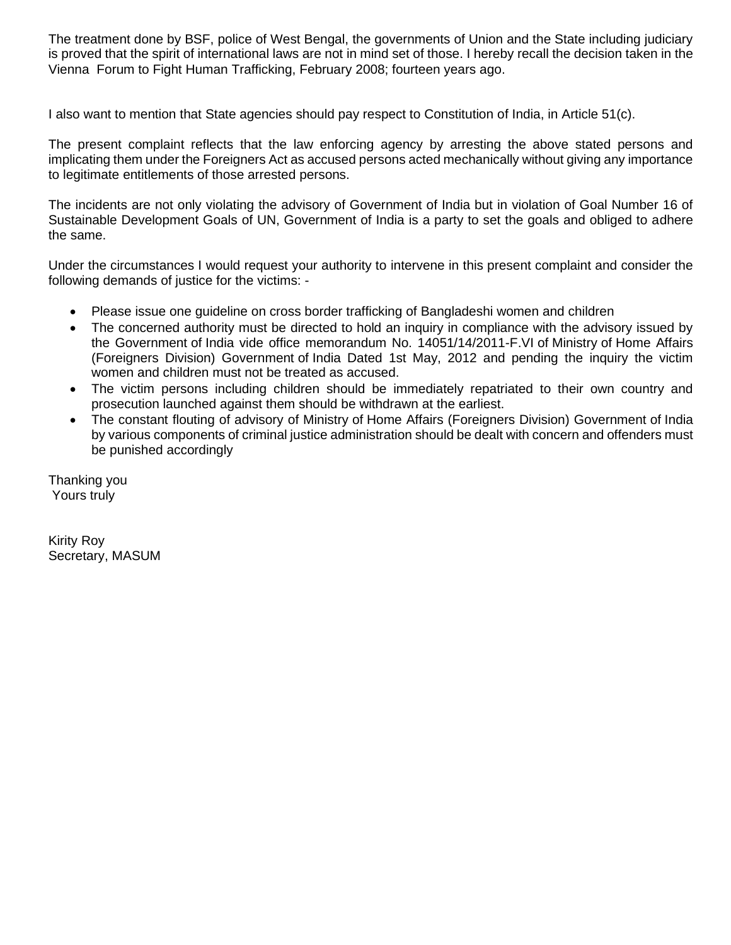The treatment done by BSF, police of West Bengal, the governments of Union and the State including judiciary is proved that the spirit of international laws are not in mind set of those. I hereby recall the decision taken in the Vienna Forum to Fight Human Trafficking, February 2008; fourteen years ago.

I also want to mention that State agencies should pay respect to Constitution of India, in Article 51(c).

The present complaint reflects that the law enforcing agency by arresting the above stated persons and implicating them under the Foreigners Act as accused persons acted mechanically without giving any importance to legitimate entitlements of those arrested persons.

The incidents are not only violating the advisory of Government of India but in violation of Goal Number 16 of Sustainable Development Goals of UN, Government of India is a party to set the goals and obliged to adhere the same.

Under the circumstances I would request your authority to intervene in this present complaint and consider the following demands of justice for the victims: -

- Please issue one guideline on cross border trafficking of Bangladeshi women and children
- The concerned authority must be directed to hold an inquiry in compliance with the advisory issued by the Government of India vide office memorandum No. 14051/14/2011-F.VI of Ministry of Home Affairs (Foreigners Division) Government of India Dated 1st May, 2012 and pending the inquiry the victim women and children must not be treated as accused.
- The victim persons including children should be immediately repatriated to their own country and prosecution launched against them should be withdrawn at the earliest.
- The constant flouting of advisory of Ministry of Home Affairs (Foreigners Division) Government of India by various components of criminal justice administration should be dealt with concern and offenders must be punished accordingly

Thanking you Yours truly

Kirity Roy Secretary, MASUM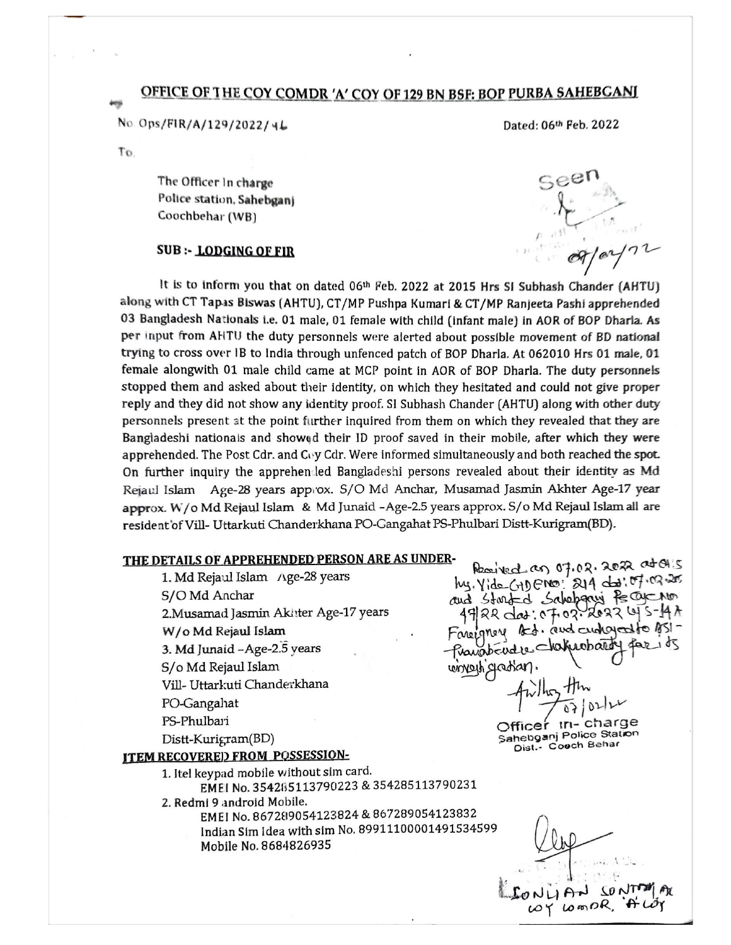## OFFICE OF THE COY COMDR 'A' COY OF 129 BN BSF: BOP PURBA SAHEBGANI

No. Ops/FIR/A/129/2022/46

Dated: 06th Feb. 2022

To.

The Officer In charge Police station, Sahebganj Coochbehar (WB)

## **SUB :- LODGING OF FIR**

It is to inform you that on dated 06th Feb. 2022 at 2015 Hrs SI Subhash Chander (AHTU) along with CT Tapas Biswas (AHTU), CT/MP Pushpa Kumari & CT/MP Ranjeeta Pashi apprehended 03 Bangladesh Nationals i.e. 01 male, 01 female with child (infant male) in AOR of BOP Dharla. As per input from AHTU the duty personnels were alerted about possible movement of BD national trying to cross over IB to India through unfenced patch of BOP Dharla. At 062010 Hrs 01 male, 01 female alongwith 01 male child came at MCP point in AOR of BOP Dharla. The duty personnels stopped them and asked about their identity, on which they hesitated and could not give proper reply and they did not show any identity proof. SI Subhash Chander (AHTU) along with other duty personnels present at the point further inquired from them on which they revealed that they are Bangladeshi nationals and showed their ID proof saved in their mobile, after which they were apprehended. The Post Cdr. and Coy Cdr. Were informed simultaneously and both reached the spot. On further inquiry the apprehen led Bangladeshi persons revealed about their identity as Md Rejaul Islam Age-28 years approx. S/O Md Anchar, Musamad Jasmin Akhter Age-17 year approx. W/o Md Rejaul Islam & Md Junaid -Age-2.5 years approx. S/o Md Rejaul Islam all are resident of Vill- Uttarkuti Chanderkhana PO-Gangahat PS-Phulbari Distt-Kurigram(BD).

## THE DETAILS OF APPREHENDED PERSON ARE AS UNDER-

1. Md Rejaul Islam /\ge-28 years S/O Md Anchar 2. Musamad Jasmin Akhter Age-17 years W/o Md Rejaul Islam 3. Md Junaid - Age-2.5 years S/o Md Rejaul Islam Vill- Uttarkuti Chanderkhana PO-Gangahat PS-Phulbari

 $Dist-Kurigram(BD)$ 

## **ITEM RECOVERED FROM POSSESSION-**

1. Itel keypad mobile without sim card. EMEI No. 354285113790223 & 354285113790231

2. Redmi 9 android Mobile.

EMEI No. 867289054123824 & 867289054123832 Indian Sim Idea with sim No. 89911100001491534599 Mobile No. 8684826935

Readed as 07.02.2022 at OH'S

Nahrobardy

in-charge

Sahebganj Police Station

Dist. - Cooch Behar

hy. Yide CADENO: 214 das: 07.02.20

and Starfed Sabebary Ke Ogeno

 $49722$  dat: 07.02.2022 4 Fareignery Red. and currento to

Pravabendre-

whyou flexing

Officer